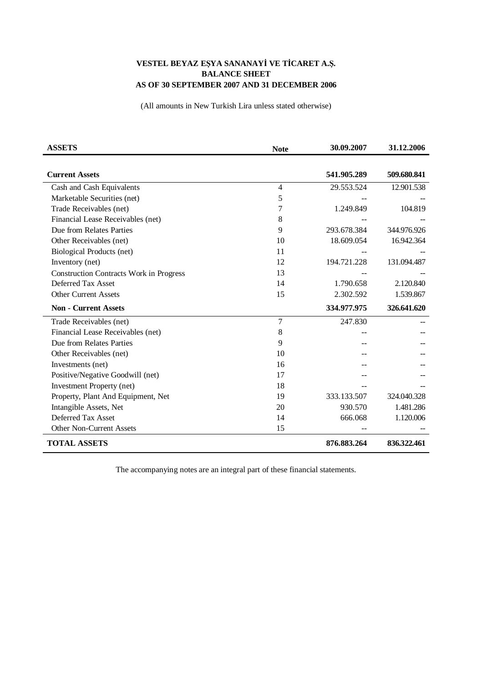## VESTEL BEYAZ EŞYA SANANAYİ VE TİCARET A.Ş. **BALANCE SHEET** AS OF 30 SEPTEMBER 2007 AND 31 DECEMBER 2006

(All amounts in New Turkish Lira unless stated otherwise)

| <b>ASSETS</b>                                  | <b>Note</b>    | 30.09.2007  | 31.12.2006  |
|------------------------------------------------|----------------|-------------|-------------|
|                                                |                |             |             |
| <b>Current Assets</b>                          |                | 541.905.289 | 509.680.841 |
| Cash and Cash Equivalents                      | $\overline{4}$ | 29.553.524  | 12.901.538  |
| Marketable Securities (net)                    | 5              |             |             |
| Trade Receivables (net)                        | 7              | 1.249.849   | 104.819     |
| Financial Lease Receivables (net)              | 8              |             |             |
| Due from Relates Parties                       | 9              | 293.678.384 | 344.976.926 |
| Other Receivables (net)                        | 10             | 18.609.054  | 16.942.364  |
| Biological Products (net)                      | 11             |             |             |
| Inventory (net)                                | 12             | 194.721.228 | 131.094.487 |
| <b>Construction Contracts Work in Progress</b> | 13             |             |             |
| Deferred Tax Asset                             | 14             | 1.790.658   | 2.120.840   |
| <b>Other Current Assets</b>                    | 15             | 2.302.592   | 1.539.867   |
| <b>Non - Current Assets</b>                    |                | 334.977.975 | 326.641.620 |
| Trade Receivables (net)                        | 7              | 247.830     |             |
| Financial Lease Receivables (net)              | 8              |             |             |
| Due from Relates Parties                       | 9              |             |             |
| Other Receivables (net)                        | 10             |             |             |
| Investments (net)                              | 16             |             |             |
| Positive/Negative Goodwill (net)               | 17             |             |             |
| <b>Investment Property (net)</b>               | 18             |             |             |
| Property, Plant And Equipment, Net             | 19             | 333.133.507 | 324.040.328 |
| Intangible Assets, Net                         | 20             | 930.570     | 1.481.286   |
| Deferred Tax Asset                             | 14             | 666.068     | 1.120.006   |
| <b>Other Non-Current Assets</b>                | 15             |             |             |
| <b>TOTAL ASSETS</b>                            |                | 876.883.264 | 836.322.461 |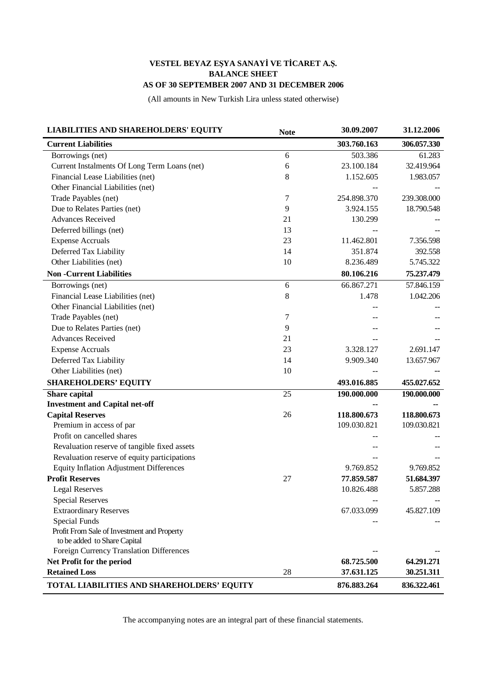## VESTEL BEYAZ EŞYA SANAYİ VE TİCARET A.Ş. **BALANCE SHEET** AS OF 30 SEPTEMBER 2007 AND 31 DECEMBER 2006

(All amounts in New Turkish Lira unless stated otherwise)

| <b>LIABILITIES AND SHAREHOLDERS' EQUITY</b>    | <b>Note</b>     | 30.09.2007  | 31.12.2006  |
|------------------------------------------------|-----------------|-------------|-------------|
| <b>Current Liabilities</b>                     |                 | 303.760.163 | 306.057.330 |
| Borrowings (net)                               | 6               | 503.386     | 61.283      |
| Current Instalments Of Long Term Loans (net)   | 6               | 23.100.184  | 32.419.964  |
| Financial Lease Liabilities (net)              | $\,8\,$         | 1.152.605   | 1.983.057   |
| Other Financial Liabilities (net)              |                 |             |             |
| Trade Payables (net)                           | 7               | 254.898.370 | 239.308.000 |
| Due to Relates Parties (net)                   | 9               | 3.924.155   | 18.790.548  |
| <b>Advances Received</b>                       | 21              | 130.299     |             |
| Deferred billings (net)                        | 13              |             |             |
| <b>Expense Accruals</b>                        | 23              | 11.462.801  | 7.356.598   |
| Deferred Tax Liability                         | 14              | 351.874     | 392.558     |
| Other Liabilities (net)                        | 10              | 8.236.489   | 5.745.322   |
| <b>Non-Current Liabilities</b>                 |                 | 80.106.216  | 75.237.479  |
| Borrowings (net)                               | 6               | 66.867.271  | 57.846.159  |
| Financial Lease Liabilities (net)              | $\,8\,$         | 1.478       | 1.042.206   |
| Other Financial Liabilities (net)              |                 |             |             |
| Trade Payables (net)                           | 7               |             |             |
| Due to Relates Parties (net)                   | 9               |             |             |
| <b>Advances Received</b>                       | 21              |             |             |
| <b>Expense Accruals</b>                        | 23              | 3.328.127   | 2.691.147   |
| Deferred Tax Liability                         | 14              | 9.909.340   | 13.657.967  |
| Other Liabilities (net)                        | 10              |             |             |
| <b>SHAREHOLDERS' EQUITY</b>                    |                 | 493.016.885 | 455.027.652 |
| <b>Share capital</b>                           | $\overline{25}$ | 190.000.000 | 190.000.000 |
| <b>Investment and Capital net-off</b>          |                 |             |             |
| <b>Capital Reserves</b>                        | 26              | 118.800.673 | 118.800.673 |
| Premium in access of par                       |                 | 109.030.821 | 109.030.821 |
| Profit on cancelled shares                     |                 |             |             |
| Revaluation reserve of tangible fixed assets   |                 |             |             |
| Revaluation reserve of equity participations   |                 |             |             |
| <b>Equity Inflation Adjustment Differences</b> |                 | 9.769.852   | 9.769.852   |
| <b>Profit Reserves</b>                         | 27              | 77.859.587  | 51.684.397  |
| <b>Legal Reserves</b>                          |                 | 10.826.488  | 5.857.288   |
| <b>Special Reserves</b>                        |                 |             |             |
| <b>Extraordinary Reserves</b>                  |                 | 67.033.099  | 45.827.109  |
| Special Funds                                  |                 |             |             |
| Profit From Sale of Investment and Property    |                 |             |             |
| to be added to Share Capital                   |                 |             |             |
| Foreign Currency Translation Differences       |                 |             |             |
| Net Profit for the period                      |                 | 68.725.500  | 64.291.271  |
| <b>Retained Loss</b>                           | 28              | 37.631.125  | 30.251.311  |
| TOTAL LIABILITIES AND SHAREHOLDERS' EQUITY     |                 | 876.883.264 | 836.322.461 |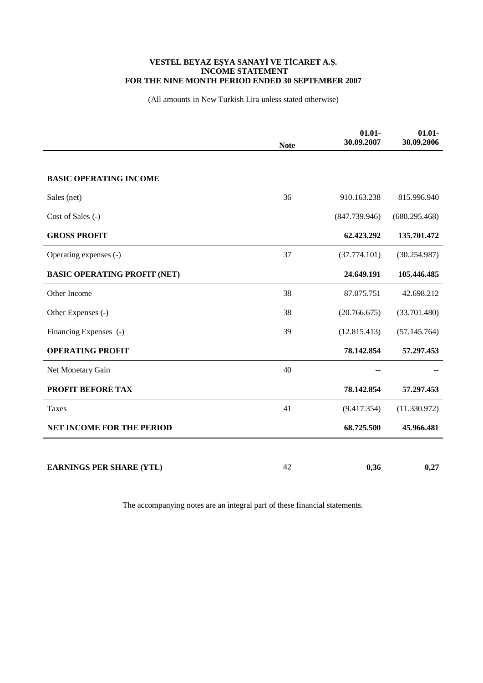## VESTEL BEYAZ EŞYA SANAYİ VE TİCARET A.Ş.<br>INCOME STATEMENT FOR THE NINE MONTH PERIOD ENDED 30 SEPTEMBER 2007

(All amounts in New Turkish Lira unless stated otherwise)

|                                     | <b>Note</b> | $01.01 -$<br>30.09.2007 | $01.01 -$<br>30.09.2006 |
|-------------------------------------|-------------|-------------------------|-------------------------|
|                                     |             |                         |                         |
| <b>BASIC OPERATING INCOME</b>       |             |                         |                         |
| Sales (net)                         | 36          | 910.163.238             | 815.996.940             |
| Cost of Sales (-)                   |             | (847.739.946)           | (680.295.468)           |
| <b>GROSS PROFIT</b>                 |             | 62.423.292              | 135.701.472             |
| Operating expenses (-)              | 37          | (37.774.101)            | (30.254.987)            |
| <b>BASIC OPERATING PROFIT (NET)</b> |             | 24.649.191              | 105.446.485             |
| Other Income                        | 38          | 87.075.751              | 42.698.212              |
| Other Expenses (-)                  | 38          | (20.766.675)            | (33.701.480)            |
| Financing Expenses (-)              | 39          | (12.815.413)            | (57.145.764)            |
| <b>OPERATING PROFIT</b>             |             | 78.142.854              | 57.297.453              |
| Net Monetary Gain                   | 40          |                         |                         |
| PROFIT BEFORE TAX                   |             | 78.142.854              | 57.297.453              |
| Taxes                               | 41          | (9.417.354)             | (11.330.972)            |
| <b>NET INCOME FOR THE PERIOD</b>    |             | 68.725.500              | 45.966.481              |
|                                     |             |                         |                         |
| <b>EARNINGS PER SHARE (YTL)</b>     | 42          | 0,36                    | 0,27                    |